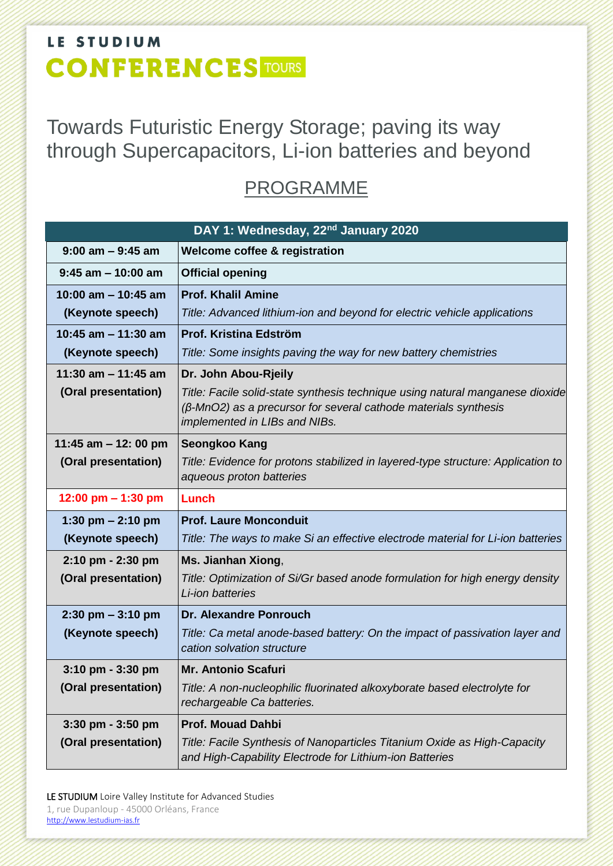Towards Futuristic Energy Storage; paving its way through Supercapacitors, Li-ion batteries and beyond

#### PROGRAMME

| DAY 1: Wednesday, 22 <sup>nd</sup> January 2020 |                                                                                                                                                                                          |  |
|-------------------------------------------------|------------------------------------------------------------------------------------------------------------------------------------------------------------------------------------------|--|
| $9:00$ am $-9:45$ am                            | <b>Welcome coffee &amp; registration</b>                                                                                                                                                 |  |
| $9:45$ am $-10:00$ am                           | <b>Official opening</b>                                                                                                                                                                  |  |
| 10:00 am $-$ 10:45 am                           | <b>Prof. Khalil Amine</b>                                                                                                                                                                |  |
| (Keynote speech)                                | Title: Advanced lithium-ion and beyond for electric vehicle applications                                                                                                                 |  |
| 10:45 am $-$ 11:30 am                           | Prof. Kristina Edström                                                                                                                                                                   |  |
| (Keynote speech)                                | Title: Some insights paving the way for new battery chemistries                                                                                                                          |  |
| 11:30 am $-$ 11:45 am                           | Dr. John Abou-Rjeily                                                                                                                                                                     |  |
| (Oral presentation)                             | Title: Facile solid-state synthesis technique using natural manganese dioxide<br>$(\beta$ -MnO2) as a precursor for several cathode materials synthesis<br>implemented in LIBs and NIBs. |  |
| 11:45 am $-$ 12: 00 pm                          | <b>Seongkoo Kang</b>                                                                                                                                                                     |  |
| (Oral presentation)                             | Title: Evidence for protons stabilized in layered-type structure: Application to<br>aqueous proton batteries                                                                             |  |
| 12:00 pm $-$ 1:30 pm                            | Lunch                                                                                                                                                                                    |  |
| 1:30 pm $- 2:10$ pm                             | <b>Prof. Laure Monconduit</b>                                                                                                                                                            |  |
| (Keynote speech)                                | Title: The ways to make Si an effective electrode material for Li-ion batteries                                                                                                          |  |
| 2:10 pm - 2:30 pm                               | Ms. Jianhan Xiong,                                                                                                                                                                       |  |
| (Oral presentation)                             | Title: Optimization of Si/Gr based anode formulation for high energy density<br>Li-ion batteries                                                                                         |  |
| $2:30$ pm $-3:10$ pm                            | <b>Dr. Alexandre Ponrouch</b>                                                                                                                                                            |  |
| (Keynote speech)                                | Title: Ca metal anode-based battery: On the impact of passivation layer and<br>cation solvation structure                                                                                |  |
| $3:10$ pm - $3:30$ pm                           | <b>Mr. Antonio Scafuri</b>                                                                                                                                                               |  |
| (Oral presentation)                             | Title: A non-nucleophilic fluorinated alkoxyborate based electrolyte for<br>rechargeable Ca batteries.                                                                                   |  |
| 3:30 pm - 3:50 pm                               | <b>Prof. Mouad Dahbi</b>                                                                                                                                                                 |  |
| (Oral presentation)                             | Title: Facile Synthesis of Nanoparticles Titanium Oxide as High-Capacity<br>and High-Capability Electrode for Lithium-ion Batteries                                                      |  |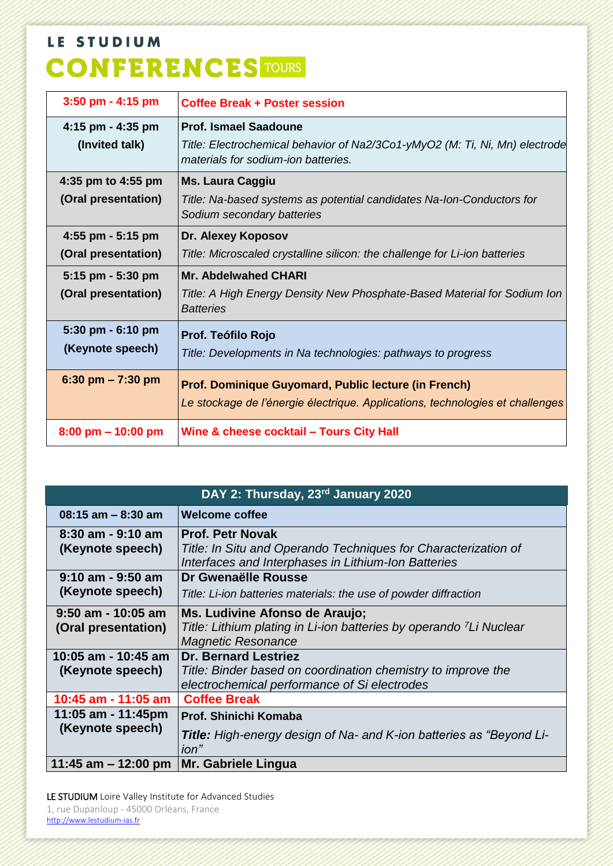| 3:50 pm - 4:15 pm                                             | <b>Coffee Break + Poster session</b>                                                                                                               |
|---------------------------------------------------------------|----------------------------------------------------------------------------------------------------------------------------------------------------|
| 4:15 pm - 4:35 pm<br>(Invited talk)                           | <b>Prof. Ismael Saadoune</b><br>Title: Electrochemical behavior of Na2/3Co1-yMyO2 (M: Ti, Ni, Mn) electrode<br>materials for sodium-ion batteries. |
| 4:35 pm to 4:55 pm<br>(Oral presentation)                     | <b>Ms. Laura Caggiu</b><br>Title: Na-based systems as potential candidates Na-Ion-Conductors for<br>Sodium secondary batteries                     |
| 4:55 pm - 5:15 pm<br>(Oral presentation)<br>5:15 pm - 5:30 pm | Dr. Alexey Koposov<br>Title: Microscaled crystalline silicon: the challenge for Li-ion batteries<br><b>Mr. Abdelwahed CHARI</b>                    |
| (Oral presentation)                                           | Title: A High Energy Density New Phosphate-Based Material for Sodium Ion<br><b>Batteries</b>                                                       |
| 5:30 pm - 6:10 pm<br>(Keynote speech)                         | Prof. Teófilo Rojo<br>Title: Developments in Na technologies: pathways to progress                                                                 |
| $6:30$ pm $- 7:30$ pm                                         | Prof. Dominique Guyomard, Public lecture (in French)<br>Le stockage de l'énergie électrique. Applications, technologies et challenges              |
| $8:00 \text{ pm} - 10:00 \text{ pm}$                          | Wine & cheese cocktail - Tours City Hall                                                                                                           |

| DAY 2: Thursday, 23rd January 2020          |                                                                                                                                                  |  |
|---------------------------------------------|--------------------------------------------------------------------------------------------------------------------------------------------------|--|
| $08:15$ am $-8:30$ am                       | <b>Welcome coffee</b>                                                                                                                            |  |
| 8:30 am - 9:10 am<br>(Keynote speech)       | <b>Prof. Petr Novak</b><br>Title: In Situ and Operando Techniques for Characterization of<br>Interfaces and Interphases in Lithium-Ion Batteries |  |
| $9:10$ am - $9:50$ am<br>(Keynote speech)   | Dr Gwenaëlle Rousse<br>Title: Li-ion batteries materials: the use of powder diffraction                                                          |  |
| $9:50$ am - 10:05 am<br>(Oral presentation) | Ms. Ludivine Afonso de Araujo;<br>Title: Lithium plating in Li-ion batteries by operando <sup>7</sup> Li Nuclear<br><b>Magnetic Resonance</b>    |  |
| 10:05 am - 10:45 am<br>(Keynote speech)     | <b>Dr. Bernard Lestriez</b><br>Title: Binder based on coordination chemistry to improve the<br>electrochemical performance of Si electrodes      |  |
| 10:45 am - 11:05 am                         | <b>Coffee Break</b>                                                                                                                              |  |
| 11:05 am - 11:45pm<br>(Keynote speech)      | Prof. Shinichi Komaba<br><b>Title:</b> High-energy design of Na- and K-ion batteries as "Beyond Li-<br>ion"                                      |  |
| 11:45 am $-$ 12:00 pm                       | Mr. Gabriele Lingua                                                                                                                              |  |

LE STUDIUM Loire Valley Institute for Advanced Studies 1, rue Dupanloup - 45000 Orléans, France [http://www.lestudium-ias.fr](http://www.lestudium-ias.fr/)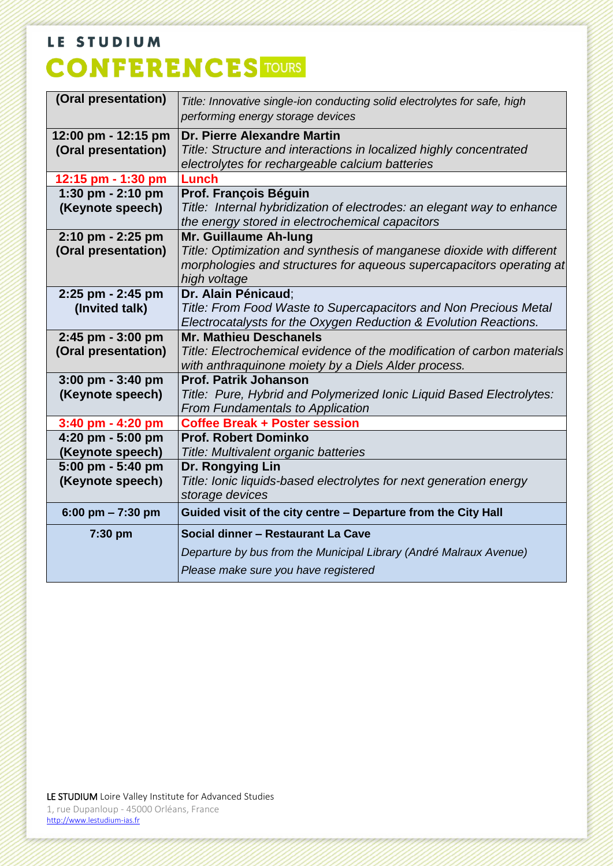| (Oral presentation)                        | Title: Innovative single-ion conducting solid electrolytes for safe, high<br>performing energy storage devices                                                                         |
|--------------------------------------------|----------------------------------------------------------------------------------------------------------------------------------------------------------------------------------------|
| 12:00 pm - 12:15 pm<br>(Oral presentation) | Dr. Pierre Alexandre Martin<br>Title: Structure and interactions in localized highly concentrated<br>electrolytes for rechargeable calcium batteries                                   |
| 12:15 pm - 1:30 pm                         | Lunch                                                                                                                                                                                  |
| 1:30 pm - 2:10 pm<br>(Keynote speech)      | Prof. François Béguin<br>Title: Internal hybridization of electrodes: an elegant way to enhance<br>the energy stored in electrochemical capacitors                                     |
| 2:10 pm - 2:25 pm<br>(Oral presentation)   | Mr. Guillaume Ah-lung<br>Title: Optimization and synthesis of manganese dioxide with different<br>morphologies and structures for aqueous supercapacitors operating at<br>high voltage |
| 2:25 pm - 2:45 pm<br>(Invited talk)        | Dr. Alain Pénicaud:<br>Title: From Food Waste to Supercapacitors and Non Precious Metal<br>Electrocatalysts for the Oxygen Reduction & Evolution Reactions.                            |
| 2:45 pm - 3:00 pm<br>(Oral presentation)   | <b>Mr. Mathieu Deschanels</b><br>Title: Electrochemical evidence of the modification of carbon materials<br>with anthraquinone moiety by a Diels Alder process.                        |
| 3:00 pm - 3:40 pm<br>(Keynote speech)      | <b>Prof. Patrik Johanson</b><br>Title: Pure, Hybrid and Polymerized Ionic Liquid Based Electrolytes:<br><b>From Fundamentals to Application</b>                                        |
| 3:40 pm - 4:20 pm                          | <b>Coffee Break + Poster session</b>                                                                                                                                                   |
| 4:20 pm - 5:00 pm<br>(Keynote speech)      | <b>Prof. Robert Dominko</b><br>Title: Multivalent organic batteries                                                                                                                    |
| 5:00 pm - 5:40 pm<br>(Keynote speech)      | Dr. Rongying Lin<br>Title: Ionic liquids-based electrolytes for next generation energy<br>storage devices                                                                              |
| 6:00 pm $- 7:30$ pm                        | Guided visit of the city centre - Departure from the City Hall                                                                                                                         |
| 7:30 pm                                    | Social dinner - Restaurant La Cave<br>Departure by bus from the Municipal Library (André Malraux Avenue)<br>Please make sure you have registered                                       |